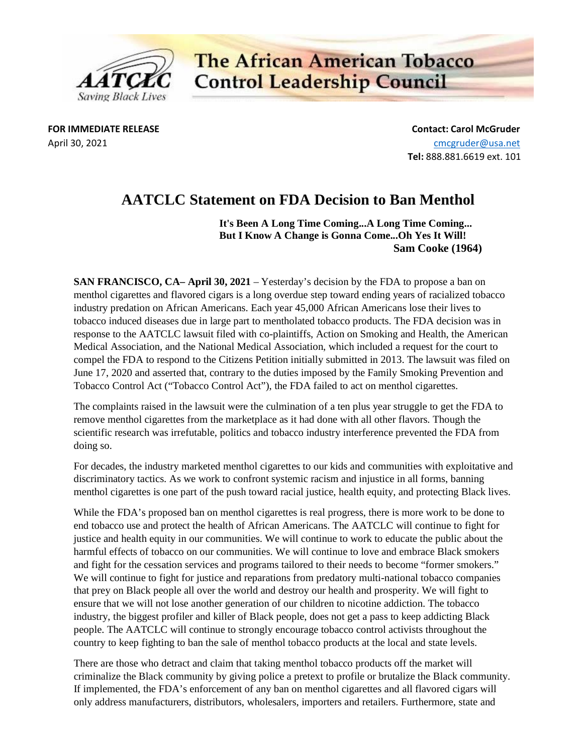

# **The African American Tobacco Control Leadership Council**

**FOR IMMEDIATE RELEASE CONTACT SEE ASSESSMENT ASSESSMENT AND RELEASE CONTACT: Carol McGruder** April 30, 2021 **cmcgruder@usa.net Tel:** 888.881.6619 ext. 101

## **AATCLC Statement on FDA Decision to Ban Menthol**

**It's Been A Long Time Coming...A Long Time Coming... But I Know A Change is Gonna Come...Oh Yes It Will! Sam Cooke (1964)**

**SAN FRANCISCO, CA– April 30, 2021** – Yesterday's decision by the FDA to propose a ban on menthol cigarettes and flavored cigars is a long overdue step toward ending years of racialized tobacco industry predation on African Americans. Each year 45,000 African Americans lose their lives to tobacco induced diseases due in large part to mentholated tobacco products. The FDA decision was in response to the AATCLC lawsuit filed with co-plaintiffs, Action on Smoking and Health, the American Medical Association, and the National Medical Association, which included a request for the court to compel the FDA to respond to the Citizens Petition initially submitted in 2013. The lawsuit was filed on June 17, 2020 and asserted that, contrary to the duties imposed by the Family Smoking Prevention and Tobacco Control Act ("Tobacco Control Act"), the FDA failed to act on menthol cigarettes.

The complaints raised in the lawsuit were the culmination of a ten plus year struggle to get the FDA to remove menthol cigarettes from the marketplace as it had done with all other flavors. Though the scientific research was irrefutable, politics and tobacco industry interference prevented the FDA from doing so.

For decades, the industry marketed menthol cigarettes to our kids and communities with exploitative and discriminatory tactics. As we work to confront systemic racism and injustice in all forms, banning menthol cigarettes is one part of the push toward racial justice, health equity, and protecting Black lives.

While the FDA's proposed ban on menthol cigarettes is real progress, there is more work to be done to end tobacco use and protect the health of African Americans. The AATCLC will continue to fight for justice and health equity in our communities. We will continue to work to educate the public about the harmful effects of tobacco on our communities. We will continue to love and embrace Black smokers and fight for the cessation services and programs tailored to their needs to become "former smokers." We will continue to fight for justice and reparations from predatory multi-national tobacco companies that prey on Black people all over the world and destroy our health and prosperity. We will fight to ensure that we will not lose another generation of our children to nicotine addiction. The tobacco industry, the biggest profiler and killer of Black people, does not get a pass to keep addicting Black people. The AATCLC will continue to strongly encourage tobacco control activists throughout the country to keep fighting to ban the sale of menthol tobacco products at the local and state levels.

There are those who detract and claim that taking menthol tobacco products off the market will criminalize the Black community by giving police a pretext to profile or brutalize the Black community. If implemented, the FDA's enforcement of any ban on menthol cigarettes and all flavored cigars will only address manufacturers, distributors, wholesalers, importers and retailers. Furthermore, state and